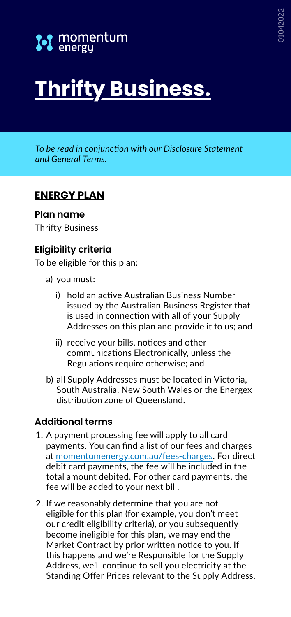

# **Thrifty Business.**

*To be read in conjunction with our Disclosure Statement and General Terms.*

## **ENERGY PLAN**

#### **Plan name**

Thrifty Business

### **Eligibility criteria**

To be eligible for this plan:

- a) you must:
	- i) hold an active Australian Business Number issued by the Australian Business Register that is used in connection with all of your Supply Addresses on this plan and provide it to us; and
	- ii) receive your bills, notices and other communications Electronically, unless the Regulations require otherwise; and
- b) all Supply Addresses must be located in Victoria, South Australia, New South Wales or the Energex distribution zone of Queensland.

#### **Additional terms**

- 1. A payment processing fee will apply to all card payments. You can find a list of our fees and charges at [momentumenergy.com.au/fees-charges](https://www.momentumenergy.com.au/fees-charges). For direct debit card payments, the fee will be included in the total amount debited. For other card payments, the fee will be added to your next bill.
- 2. If we reasonably determine that you are not eligible for this plan (for example, you don't meet our credit eligibility criteria), or you subsequently become ineligible for this plan, we may end the Market Contract by prior written notice to you. If this happens and we're Responsible for the Supply Address, we'll continue to sell you electricity at the Standing Offer Prices relevant to the Supply Address.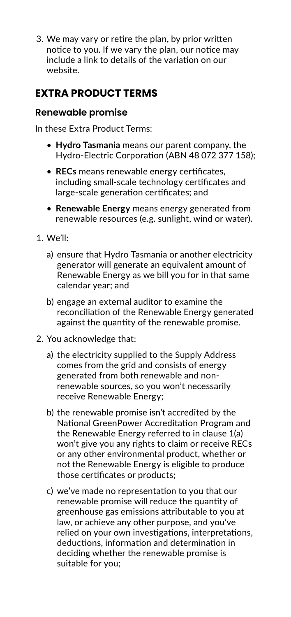3. We may vary or retire the plan, by prior written notice to you. If we vary the plan, our notice may include a link to details of the variation on our website.

# **EXTRA PRODUCT TERMS**

### **Renewable promise**

In these Extra Product Terms:

- **Hydro Tasmania** means our parent company, the Hydro-Electric Corporation (ABN 48 072 377 158);
- **RECs** means renewable energy certificates, including small-scale technology certificates and large-scale generation certificates; and
- **Renewable Energy** means energy generated from renewable resources (e.g. sunlight, wind or water).
- 1. We'll:
	- a) ensure that Hydro Tasmania or another electricity generator will generate an equivalent amount of Renewable Energy as we bill you for in that same calendar year; and
	- b) engage an external auditor to examine the reconciliation of the Renewable Energy generated against the quantity of the renewable promise.
- 2. You acknowledge that:
	- a) the electricity supplied to the Supply Address comes from the grid and consists of energy generated from both renewable and nonrenewable sources, so you won't necessarily receive Renewable Energy;
	- b) the renewable promise isn't accredited by the National GreenPower Accreditation Program and the Renewable Energy referred to in clause 1(a) won't give you any rights to claim or receive RECs or any other environmental product, whether or not the Renewable Energy is eligible to produce those certificates or products;
	- c) we've made no representation to you that our renewable promise will reduce the quantity of greenhouse gas emissions attributable to you at law, or achieve any other purpose, and you've relied on your own investigations, interpretations, deductions, information and determination in deciding whether the renewable promise is suitable for you;